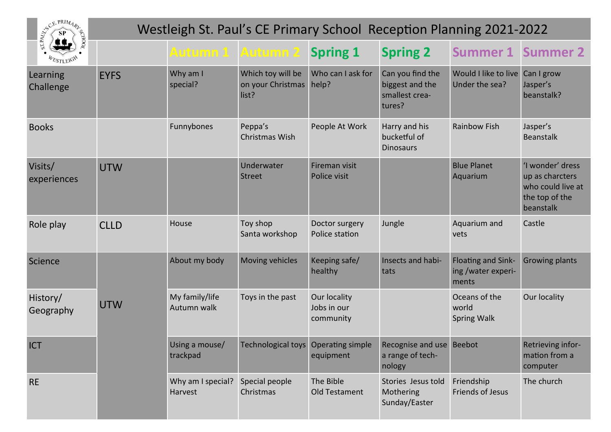| SP SP PRIMARE          | Westleigh St. Paul's CE Primary School Reception Planning 2021-2022 |                               |                                                 |                                          |                                                                                                           |                                                          |                                                                                         |  |  |  |
|------------------------|---------------------------------------------------------------------|-------------------------------|-------------------------------------------------|------------------------------------------|-----------------------------------------------------------------------------------------------------------|----------------------------------------------------------|-----------------------------------------------------------------------------------------|--|--|--|
|                        |                                                                     | <b>Autumn 1 Autumn 2</b>      |                                                 | <b>Spring 1</b>                          | <b>Spring 2</b>                                                                                           | <b>Summer 1 Summer 2</b>                                 |                                                                                         |  |  |  |
| Learning<br>Challenge  | <b>EYFS</b>                                                         | Why am I<br>special?          | Which toy will be<br>on your Christmas<br>list? | Who can I ask for<br>help?               | Can you find the<br>biggest and the<br>smallest crea-<br>tures?                                           | Would I like to live<br>Under the sea?                   | Can I grow<br>Jasper's<br>beanstalk?                                                    |  |  |  |
| <b>Books</b>           |                                                                     | Funnybones                    | Peppa's<br>Christmas Wish                       | People At Work                           | Harry and his<br>bucketful of<br><b>Dinosaurs</b>                                                         | <b>Rainbow Fish</b>                                      | Jasper's<br><b>Beanstalk</b>                                                            |  |  |  |
| Visits/<br>experiences | <b>UTW</b>                                                          |                               | Underwater<br><b>Street</b>                     | Fireman visit<br>Police visit            |                                                                                                           | <b>Blue Planet</b><br>Aquarium                           | 'I wonder' dress<br>up as charcters<br>who could live at<br>the top of the<br>beanstalk |  |  |  |
| Role play              | <b>CLLD</b>                                                         | House                         | Toy shop<br>Santa workshop                      | Doctor surgery<br>Police station         | Jungle                                                                                                    | Aquarium and<br>vets                                     | Castle                                                                                  |  |  |  |
| Science                |                                                                     | About my body                 | Moving vehicles                                 | Keeping safe/<br>healthy                 | Insects and habi-<br>tats                                                                                 | <b>Floating and Sink-</b><br>ing /water experi-<br>ments | <b>Growing plants</b>                                                                   |  |  |  |
| History/<br>Geography  | <b>UTW</b>                                                          | My family/life<br>Autumn walk | Toys in the past                                | Our locality<br>Jobs in our<br>community |                                                                                                           | Oceans of the<br>world<br><b>Spring Walk</b>             | Our locality                                                                            |  |  |  |
| <b>ICT</b>             |                                                                     | trackpad                      |                                                 | equipment                                | Using a mouse/ Technological toys Operating simple Recognise and use Beebot<br>a range of tech-<br>nology |                                                          | Retrieving infor-<br>mation from a<br>computer                                          |  |  |  |
| <b>RE</b>              |                                                                     | Why am I special?<br>Harvest  | Special people<br>Christmas                     | The Bible<br>Old Testament               | Stories Jesus told<br>Mothering<br>Sunday/Easter                                                          | Friendship<br>Friends of Jesus                           | The church                                                                              |  |  |  |